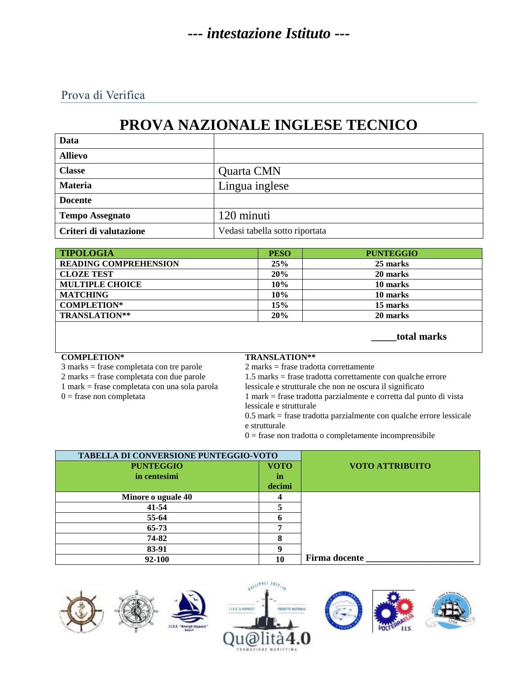Prova di Verifica

# **PROVA NAZIONALE INGLESE TECNICO**

| Data                   |                                |
|------------------------|--------------------------------|
| <b>Allievo</b>         |                                |
| <b>Classe</b>          | Quarta CMN                     |
| <b>Materia</b>         | Lingua inglese                 |
| <b>Docente</b>         |                                |
| <b>Tempo Assegnato</b> | 120 minuti                     |
| Criteri di valutazione | Vedasi tabella sotto riportata |

| <b>TIPOLOGIA</b>             | <b>PESO</b> | <b>PUNTEGGIO</b> |
|------------------------------|-------------|------------------|
| <b>READING COMPREHENSION</b> | 25%         | 25 marks         |
| <b>CLOZE TEST</b>            | 20%         | 20 marks         |
| <b>MULTIPLE CHOICE</b>       | 10%         | 10 marks         |
| <b>MATCHING</b>              | 10%         | 10 marks         |
| <b>COMPLETION*</b>           | 15%         | 15 marks         |
| <b>TRANSLATION**</b>         | 20%         | 20 marks         |

 **\_\_\_\_\_total marks**

#### **COMPLETION\* TRANSLATION\*\***

- 3 marks = frase completata con tre parole 2 marks = frase tradotta correttamente
- 
- 
- 

2 marks = frase completata con due parole 1.5 marks = frase tradotta correttamente con qualche errore 1 mark = frase completata con una sola parola lessicale e strutturale che non ne oscura il significato 0 = frase non completata 1 mark = frase tradotta parzialmente e corretta dal punto di vista

lessicale e strutturale

0.5 mark = frase tradotta parzialmente con qualche errore lessicale e strutturale

 $0 =$  frase non tradotta o completamente incomprensibile

| TABELLA DI CONVERSIONE PUNTEGGIO-VOTO |             |                        |
|---------------------------------------|-------------|------------------------|
| <b>PUNTEGGIO</b>                      | <b>VOTO</b> | <b>VOTO ATTRIBUITO</b> |
| in centesimi                          | in          |                        |
|                                       | decimi      |                        |
| Minore o uguale 40                    |             |                        |
| $41 - 54$                             |             |                        |
| 55-64                                 |             |                        |
| $65 - 73$                             |             |                        |
| 74-82                                 | 8           |                        |
| 83-91                                 |             |                        |
| 92-100                                | 10          | <b>Firma docente</b>   |







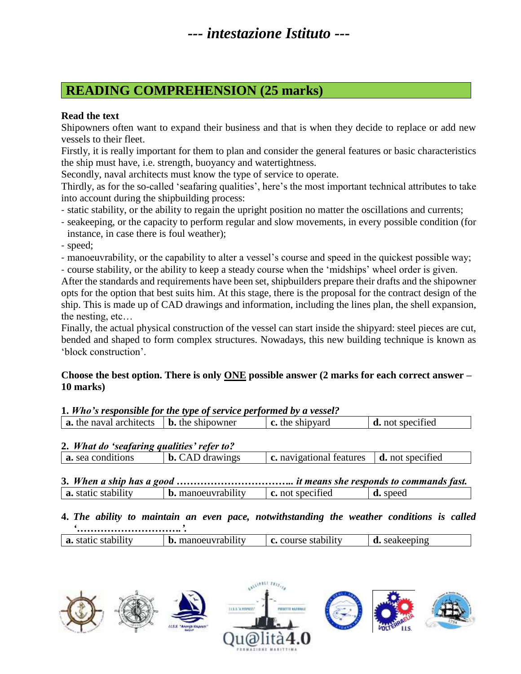### **READING COMPREHENSION (25 marks)**

#### **Read the text**

Shipowners often want to expand their business and that is when they decide to replace or add new vessels to their fleet.

Firstly, it is really important for them to plan and consider the general features or basic characteristics the ship must have, i.e. strength, buoyancy and watertightness.

Secondly, naval architects must know the type of service to operate.

Thirdly, as for the so-called 'seafaring qualities', here's the most important technical attributes to take into account during the shipbuilding process:

- static stability, or the ability to regain the upright position no matter the oscillations and currents;
- seakeeping, or the capacity to perform regular and slow movements, in every possible condition (for instance, in case there is foul weather);

- speed;

- manoeuvrability, or the capability to alter a vessel's course and speed in the quickest possible way;

- course stability, or the ability to keep a steady course when the 'midships' wheel order is given.

After the standards and requirements have been set, shipbuilders prepare their drafts and the shipowner opts for the option that best suits him. At this stage, there is the proposal for the contract design of the ship. This is made up of CAD drawings and information, including the lines plan, the shell expansion, the nesting, etc…

Finally, the actual physical construction of the vessel can start inside the shipyard: steel pieces are cut, bended and shaped to form complex structures. Nowadays, this new building technique is known as 'block construction'.

#### **Choose the best option. There is only ONE possible answer (2 marks for each correct answer – 10 marks)**

#### **1.** *Who's responsible for the type of service performed by a vessel?*

| a. the naval architects | $\vert$ <b>b.</b> the shipowner | shipyard<br>c. the | not specified |  |
|-------------------------|---------------------------------|--------------------|---------------|--|
|                         |                                 |                    |               |  |

### **2.** *What do 'seafaring qualities' refer to?*

| <b>a.</b> sea conditions | drawings<br>b. | : navigational features | d. not specified |
|--------------------------|----------------|-------------------------|------------------|
|                          |                |                         |                  |

| <b>a.</b> static stability | <b>b.</b> manoeuvrability | <b>c.</b> not specified | <b>d.</b> speed |
|----------------------------|---------------------------|-------------------------|-----------------|

### **4.** *The ability to maintain an even pace, notwithstanding the weather conditions is called*

| a. static | $\cdots$<br>. manoeuvrability<br>b. | stability<br>course<br>. . |  |
|-----------|-------------------------------------|----------------------------|--|

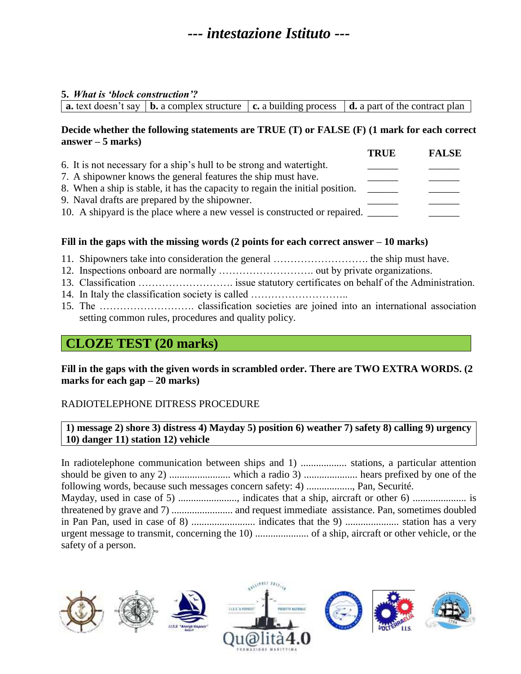#### **5.** *What is 'block construction'?*

|  |  |  |  | <b>a.</b> text doesn't say   <b>b.</b> a complex structure $\vert$ <b>c.</b> a building process $\vert$ <b>d.</b> a part of the contract plan |
|--|--|--|--|-----------------------------------------------------------------------------------------------------------------------------------------------|
|--|--|--|--|-----------------------------------------------------------------------------------------------------------------------------------------------|

#### **Decide whether the following statements are TRUE (T) or FALSE (F) (1 mark for each correct answer – 5 marks)**

|                                                                               | <b>TRUE</b> | <b>FALSE</b> |
|-------------------------------------------------------------------------------|-------------|--------------|
| 6. It is not necessary for a ship's hull to be strong and watertight.         |             |              |
| 7. A shipowner knows the general features the ship must have.                 |             |              |
| 8. When a ship is stable, it has the capacity to regain the initial position. |             |              |
| 9. Naval drafts are prepared by the shipowner.                                |             |              |
| 10. A shipyard is the place where a new vessel is constructed or repaired.    |             |              |

### **Fill in the gaps with the missing words (2 points for each correct answer – 10 marks)**

- 11. Shipowners take into consideration the general ………………………. the ship must have.
- 12. Inspections onboard are normally ………………………. out by private organizations.
- 13. Classification ………………………. issue statutory certificates on behalf of the Administration.
- 14. In Italy the classification society is called ...............................
- 15. The ………………………. classification societies are joined into an international association setting common rules, procedures and quality policy.

### **CLOZE TEST (20 marks)**

**Fill in the gaps with the given words in scrambled order. There are TWO EXTRA WORDS. (2 marks for each gap – 20 marks)**

#### RADIOTELEPHONE DITRESS PROCEDURE

**1) message 2) shore 3) distress 4) Mayday 5) position 6) weather 7) safety 8) calling 9) urgency 10) danger 11) station 12) vehicle**

In radiotelephone communication between ships and 1) .................. stations, a particular attention should be given to any 2) ........................ which a radio 3) ..................... hears prefixed by one of the following words, because such messages concern safety: 4) .................., Pan, Securité. Mayday, used in case of 5) ......................., indicates that a ship, aircraft or other 6) ..................... is threatened by grave and 7) ........................ and request immediate assistance. Pan, sometimes doubled in Pan Pan, used in case of 8) ......................... indicates that the 9) ..................... station has a very urgent message to transmit, concerning the 10) ..................... of a ship, aircraft or other vehicle, or the safety of a person.

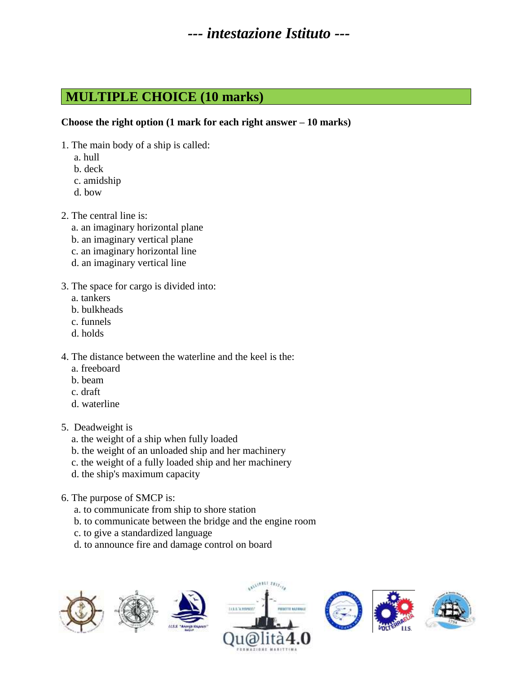### **MULTIPLE CHOICE (10 marks)**

#### **Choose the right option (1 mark for each right answer – 10 marks)**

- 1. The main body of a ship is called:
	- a. hull
	- b. deck
	- c. amidship
	- d. bow
- 2. The central line is:
	- a. an imaginary horizontal plane
	- b. an imaginary vertical plane
	- c. an imaginary horizontal line
	- d. an imaginary vertical line
- 3. The space for cargo is divided into:
	- a. tankers
	- b. bulkheads
	- c. funnels
	- d. holds
- 4. The distance between the waterline and the keel is the:
	- a. freeboard
	- b. beam
	- c. draft
	- d. waterline
- 5. Deadweight is
	- a. the weight of a ship when fully loaded
	- b. the weight of an unloaded ship and her machinery
	- c. the weight of a fully loaded ship and her machinery
	- d. the ship's maximum capacity
- 6. The purpose of SMCP is:
	- a. to communicate from ship to shore station
	- b. to communicate between the bridge and the engine room
	- c. to give a standardized language
	- d. to announce fire and damage control on board

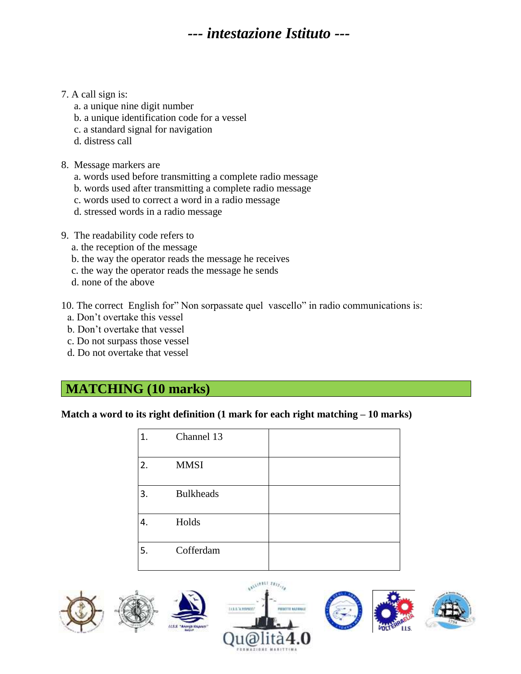#### 7. A call sign is:

- a. a unique nine digit number
- b. a unique identification code for a vessel
- c. a standard signal for navigation
- d. distress call
- 8. Message markers are
	- a. words used before transmitting a complete radio message
	- b. words used after transmitting a complete radio message
	- c. words used to correct a word in a radio message
	- d. stressed words in a radio message
- 9. The readability code refers to
	- a. the reception of the message
	- b. the way the operator reads the message he receives
	- c. the way the operator reads the message he sends
	- d. none of the above

10. The correct English for" Non sorpassate quel vascello" in radio communications is:

- a. Don't overtake this vessel
- b. Don't overtake that vessel
- c. Do not surpass those vessel
- d. Do not overtake that vessel

### **MATCHING (10 marks)**

**Match a word to its right definition (1 mark for each right matching – 10 marks)**

| 1. | Channel 13       |  |
|----|------------------|--|
| 2. | <b>MMSI</b>      |  |
| 3. | <b>Bulkheads</b> |  |
| 4. | Holds            |  |
| 5. | Cofferdam        |  |

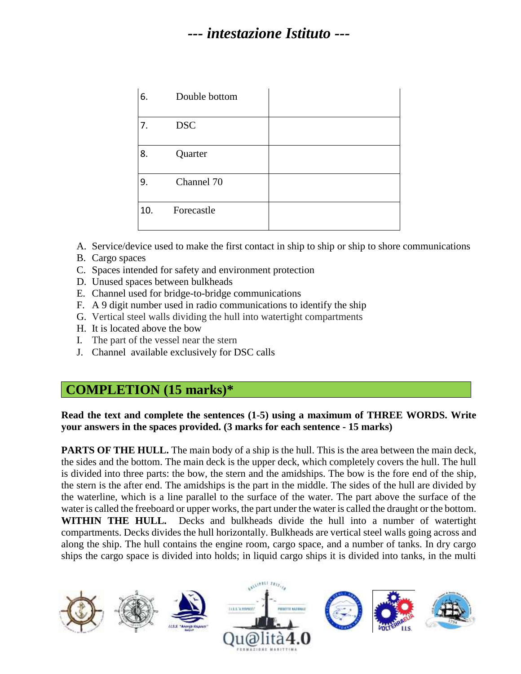| 6.  | Double bottom |  |
|-----|---------------|--|
| 7.  | <b>DSC</b>    |  |
| 8.  | Quarter       |  |
| 9.  | Channel 70    |  |
| 10. | Forecastle    |  |

A. Service/device used to make the first contact in ship to ship or ship to shore communications

- B. Cargo spaces
- C. Spaces intended for safety and environment protection
- D. Unused spaces between bulkheads
- E. Channel used for bridge-to-bridge communications
- F. A 9 digit number used in radio communications to identify the ship
- G. Vertical steel walls dividing the hull into watertight compartments
- H. It is located above the bow
- I. The part of the vessel near the stern
- J. Channel available exclusively for DSC calls

### **COMPLETION (15 marks)\***

#### **Read the text and complete the sentences (1-5) using a maximum of THREE WORDS. Write your answers in the spaces provided. (3 marks for each sentence - 15 marks)**

**PARTS OF THE HULL.** The main body of a ship is the hull. This is the area between the main deck, the sides and the bottom. The main deck is the upper deck, which completely covers the hull. The hull is divided into three parts: the bow, the stern and the amidships. The bow is the fore end of the ship, the stern is the after end. The amidships is the part in the middle. The sides of the hull are divided by the waterline, which is a line parallel to the surface of the water. The part above the surface of the water is called the freeboard or upper works, the part under the water is called the draught or the bottom. **WITHIN THE HULL.** Decks and bulkheads divide the hull into a number of watertight compartments. Decks divides the hull horizontally. Bulkheads are vertical steel walls going across and along the ship. The hull contains the engine room, cargo space, and a number of tanks. In dry cargo ships the cargo space is divided into holds; in liquid cargo ships it is divided into tanks, in the multi

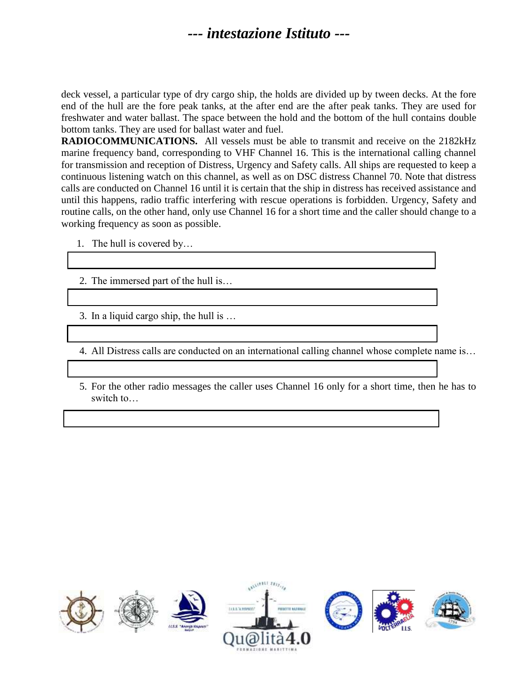deck vessel, a particular type of dry cargo ship, the holds are divided up by tween decks. At the fore end of the hull are the fore peak tanks, at the after end are the after peak tanks. They are used for freshwater and water ballast. The space between the hold and the bottom of the hull contains double bottom tanks. They are used for ballast water and fuel.

**RADIOCOMMUNICATIONS.** All vessels must be able to transmit and receive on the 2182kHz marine frequency band, corresponding to VHF Channel 16. This is the international calling channel for transmission and reception of Distress, Urgency and Safety calls. All ships are requested to keep a continuous listening watch on this channel, as well as on DSC distress Channel 70. Note that distress calls are conducted on Channel 16 until it is certain that the ship in distress has received assistance and until this happens, radio traffic interfering with rescue operations is forbidden. Urgency, Safety and routine calls, on the other hand, only use Channel 16 for a short time and the caller should change to a working frequency as soon as possible.

- 1. The hull is covered by…
- 2. The immersed part of the hull is…
- 3. In a liquid cargo ship, the hull is …
- 4. All Distress calls are conducted on an international calling channel whose complete name is…
- 5. For the other radio messages the caller uses Channel 16 only for a short time, then he has to switch to…